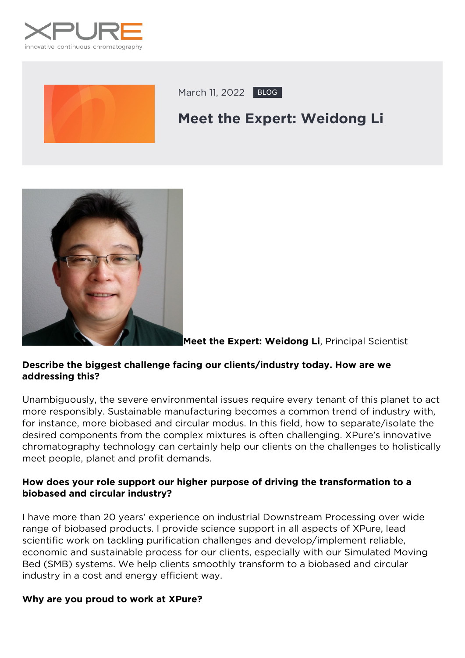



March 11, 2022 BLOG

# **Meet the Expert: Weidong Li**



**Meet the Expert: Weidong Li**, Principal Scientist

### **Describe the biggest challenge facing our clients/industry today. How are we addressing this?**

Unambiguously, the severe environmental issues require every tenant of this planet to act more responsibly. Sustainable manufacturing becomes a common trend of industry with, for instance, more biobased and circular modus. In this field, how to separate/isolate the desired components from the complex mixtures is often challenging. XPure's innovative chromatography technology can certainly help our clients on the challenges to holistically meet people, planet and profit demands.

### **How does your role support our higher purpose of driving the transformation to a biobased and circular industry?**

I have more than 20 years' experience on industrial Downstream Processing over wide range of biobased products. I provide science support in all aspects of XPure, lead scientific work on tackling purification challenges and develop/implement reliable, economic and sustainable process for our clients, especially with our Simulated Moving Bed (SMB) systems. We help clients smoothly transform to a biobased and circular industry in a cost and energy efficient way.

### **Why are you proud to work at XPure?**